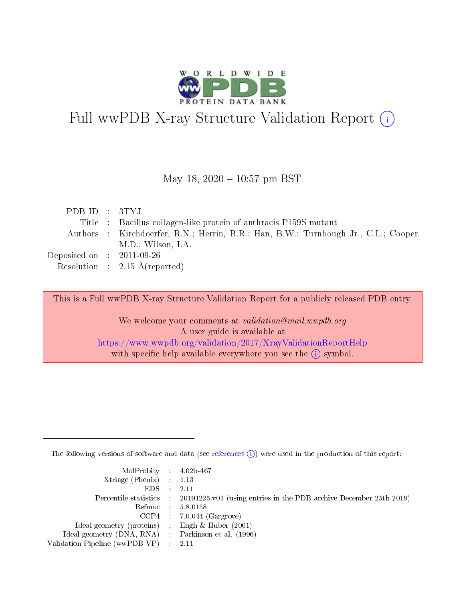

# Full wwPDB X-ray Structure Validation Report (i)

#### May 18,  $2020 - 10:57$  pm BST

| PDB ID : 3TYJ                                             |                                                                                     |
|-----------------------------------------------------------|-------------------------------------------------------------------------------------|
|                                                           | Title : Bacillus collagen-like protein of anthracis P159S mutant                    |
|                                                           | Authors : Kirchdoerfer, R.N.; Herrin, B.R.; Han, B.W.; Turnbough Jr., C.L.; Cooper, |
|                                                           | M.D.; Wilson, I.A.                                                                  |
| $\rm Deposited\; on \;\; : \;\; 2011\text{-}09\text{-}26$ |                                                                                     |
|                                                           | Resolution : $2.15 \text{ Å}$ (reported)                                            |

This is a Full wwPDB X-ray Structure Validation Report for a publicly released PDB entry.

We welcome your comments at validation@mail.wwpdb.org A user guide is available at <https://www.wwpdb.org/validation/2017/XrayValidationReportHelp> with specific help available everywhere you see the  $(i)$  symbol.

The following versions of software and data (see [references](https://www.wwpdb.org/validation/2017/XrayValidationReportHelp#references)  $(i)$ ) were used in the production of this report:

| MolProbity : 4.02b-467                              |                                                                                            |
|-----------------------------------------------------|--------------------------------------------------------------------------------------------|
| $Xtriangle (Phenix)$ : 1.13                         |                                                                                            |
| $EDS = 2.11$                                        |                                                                                            |
|                                                     | Percentile statistics : 20191225.v01 (using entries in the PDB archive December 25th 2019) |
|                                                     | Refmac : 5.8.0158                                                                          |
|                                                     | $CCP4$ : 7.0.044 (Gargrove)                                                                |
| Ideal geometry (proteins) : Engh $\&$ Huber (2001)  |                                                                                            |
| Ideal geometry (DNA, RNA) : Parkinson et al. (1996) |                                                                                            |
| Validation Pipeline (wwPDB-VP) : 2.11               |                                                                                            |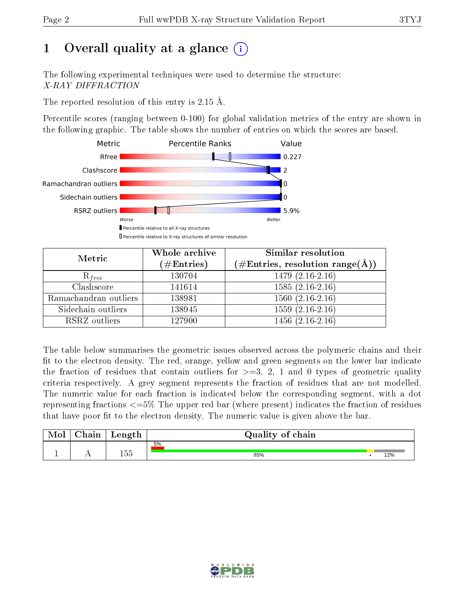# 1 [O](https://www.wwpdb.org/validation/2017/XrayValidationReportHelp#overall_quality)verall quality at a glance  $(i)$

The following experimental techniques were used to determine the structure: X-RAY DIFFRACTION

The reported resolution of this entry is 2.15 Å.

Percentile scores (ranging between 0-100) for global validation metrics of the entry are shown in the following graphic. The table shows the number of entries on which the scores are based.



| Metric                | Whole archive<br>$(\#\mathrm{Entries})$ | Similar resolution<br>$(\#\text{Entries},\,\text{resolution}\,\,\text{range}(\textup{\AA}))$ |
|-----------------------|-----------------------------------------|----------------------------------------------------------------------------------------------|
| $R_{free}$            | 130704                                  | $1479(2.16-2.16)$                                                                            |
| Clashscore            | 141614                                  | $1585(2.16-2.16)$                                                                            |
| Ramachandran outliers | 138981                                  | $1560(2.16-2.16)$                                                                            |
| Sidechain outliers    | 138945                                  | $1559(2.16-2.16)$                                                                            |
| RSRZ outliers         | 127900                                  | $1456(2.16-2.16)$                                                                            |

The table below summarises the geometric issues observed across the polymeric chains and their fit to the electron density. The red, orange, yellow and green segments on the lower bar indicate the fraction of residues that contain outliers for  $>=3, 2, 1$  and 0 types of geometric quality criteria respectively. A grey segment represents the fraction of residues that are not modelled. The numeric value for each fraction is indicated below the corresponding segment, with a dot representing fractions  $\epsilon=5\%$  The upper red bar (where present) indicates the fraction of residues that have poor fit to the electron density. The numeric value is given above the bar.

| Mol | $\cap$ hain | Length | Quality of chain |     |
|-----|-------------|--------|------------------|-----|
|     |             |        | 5%               |     |
|     | . .         | 155    | 85%              | 12% |

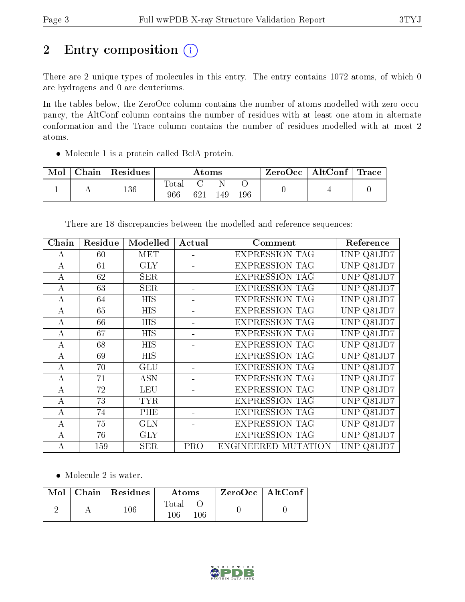# 2 Entry composition  $\left( \cdot \right)$

There are 2 unique types of molecules in this entry. The entry contains 1072 atoms, of which 0 are hydrogens and 0 are deuteriums.

In the tables below, the ZeroOcc column contains the number of atoms modelled with zero occupancy, the AltConf column contains the number of residues with at least one atom in alternate conformation and the Trace column contains the number of residues modelled with at most 2 atoms.

• Molecule 1 is a protein called BclA protein.

| Mol | Chain | Residues | $\rm{Atoms}$ |     |     | ZeroOcc   AltConf   Trace |  |  |
|-----|-------|----------|--------------|-----|-----|---------------------------|--|--|
|     | . .   | 136      | Total<br>966 | 621 | 149 | 196                       |  |  |

Chain Residue Modelled Actual Comment Reference A  $\vert$  60 | MET  $\vert$  -  $\vert$  EXPRESSION TAG UNP Q81JD7 A 61 GLY - EXPRESSION TAG UNP Q81JD7 A 62 SER - EXPRESSION TAG UNP Q81JD7 A 63 | SER | - | EXPRESSION TAG | UNP Q81JD7 A 64 HIS - EXPRESSION TAG UNP Q81JD7 A 65 HIS - EXPRESSION TAG UNP Q81JD7 A 66 HIS - EXPRESSION TAG UNP Q81JD7

A 67 HIS - EXPRESSION TAG UNP Q81JD7 A 68 HIS - EXPRESSION TAG UNP Q81JD7 A 69 HIS - EXPRESSION TAG UNP Q81JD7 A | 70 | GLU | - | EXPRESSION TAG | UNP Q81JD7 A 71 | ASN | - | EXPRESSION TAG | UNP Q81JD7 A 72 LEU - EXPRESSION TAG UNP Q81JD7 A | 73 | TYR | - | EXPRESSION TAG | UNP Q81JD7 A 74 PHE - EXPRESSION TAG UNP Q81JD7 A 75 GLN - EXPRESSION TAG UNP Q81JD7 A 76 GLY - EXPRESSION TAG UNP Q81JD7 A | 159 | SER | PRO | ENGINEERED MUTATION | UNP Q81JD7

There are 18 discrepancies between the modelled and reference sequences:

• Molecule 2 is water.

|  | $\text{Mol}$   Chain   Residues | <b>Atoms</b>              | $ZeroOcc \   \$ AltConf |
|--|---------------------------------|---------------------------|-------------------------|
|  | 106.                            | $\rm Total$<br>106<br>106 |                         |

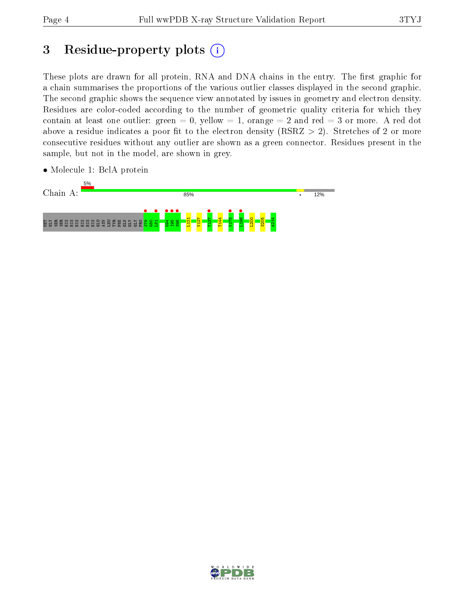## 3 Residue-property plots  $(i)$

These plots are drawn for all protein, RNA and DNA chains in the entry. The first graphic for a chain summarises the proportions of the various outlier classes displayed in the second graphic. The second graphic shows the sequence view annotated by issues in geometry and electron density. Residues are color-coded according to the number of geometric quality criteria for which they contain at least one outlier: green  $= 0$ , yellow  $= 1$ , orange  $= 2$  and red  $= 3$  or more. A red dot above a residue indicates a poor fit to the electron density (RSRZ  $> 2$ ). Stretches of 2 or more consecutive residues without any outlier are shown as a green connector. Residues present in the sample, but not in the model, are shown in grey.

- Chain A: 85% 12% MET GLY SER SER HIS HIS HIS HIS HIS HIS GLU ASN LEU TYR PHE GLN GLY GLY PRO S79 • G80 L81 • G94 • I95 • **•**<br>S96 T137 • **•** 571V **•** • • • • • L121 V127 T144 L200 S205 A214
- Molecule 1: BclA protein

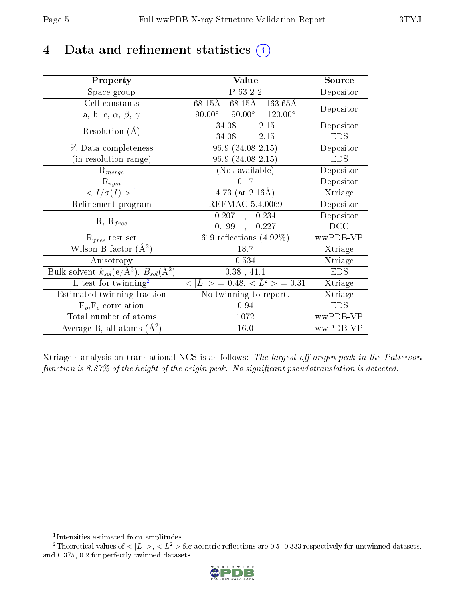## 4 Data and refinement statistics  $(i)$

| Property                                                                 | Value                                            | Source     |
|--------------------------------------------------------------------------|--------------------------------------------------|------------|
| Space group                                                              | P 63 2 2                                         | Depositor  |
| Cell constants                                                           | 68.15Å 163.65Å<br>68.15Å                         |            |
| a, b, c, $\alpha$ , $\beta$ , $\gamma$                                   | $90.00^{\circ}$ $90.00^{\circ}$ $120.00^{\circ}$ | Depositor  |
| Resolution $(A)$                                                         | 34.08<br>$-2.15$                                 | Depositor  |
|                                                                          | 34.08<br>$-2.15$                                 | <b>EDS</b> |
| $%$ Data completeness                                                    | $96.9(34.08-2.15)$                               | Depositor  |
| (in resolution range)                                                    | $96.9(34.08-2.15)$                               | <b>EDS</b> |
| $R_{merge}$                                                              | (Not available)                                  | Depositor  |
| $\mathrm{R}_{sym}$                                                       | 0.17                                             | Depositor  |
| $\langle I/\sigma(I) \rangle^{-1}$                                       | 4.73 (at $2.16\text{\AA}$ )                      | Xtriage    |
| Refinement program                                                       | REFMAC 5.4.0069                                  | Depositor  |
| $R, R_{free}$                                                            | 0.207,<br>0.234                                  | Depositor  |
|                                                                          | 0.199<br>0.227<br>$\mathcal{L}^{\text{max}}$     | DCC        |
| $R_{free}$ test set                                                      | 619 reflections $(4.92\%)$                       | wwPDB-VP   |
| Wilson B-factor $(A^2)$                                                  | 18.7                                             | Xtriage    |
| Anisotropy                                                               | 0.534                                            | Xtriage    |
| Bulk solvent $k_{sol}(\mathrm{e}/\mathrm{A}^3),$ $B_{sol}(\mathrm{A}^2)$ | 0.38, 41.1                                       | <b>EDS</b> |
| L-test for twinning <sup>2</sup>                                         | $< L >$ = 0.48, $< L2 >$ = 0.31                  | Xtriage    |
| Estimated twinning fraction                                              | $\overline{\text{No}}$ twinning to report.       | Xtriage    |
| $F_o, F_c$ correlation                                                   | 0.94                                             | <b>EDS</b> |
| Total number of atoms                                                    | 1072                                             | wwPDB-VP   |
| Average B, all atoms $(A^2)$                                             | 16.0                                             | wwPDB-VP   |

Xtriage's analysis on translational NCS is as follows: The largest off-origin peak in the Patterson function is  $8.87\%$  of the height of the origin peak. No significant pseudotranslation is detected.

<sup>&</sup>lt;sup>2</sup>Theoretical values of  $\langle |L| \rangle$ ,  $\langle L^2 \rangle$  for acentric reflections are 0.5, 0.333 respectively for untwinned datasets, and 0.375, 0.2 for perfectly twinned datasets.



<span id="page-4-1"></span><span id="page-4-0"></span><sup>1</sup> Intensities estimated from amplitudes.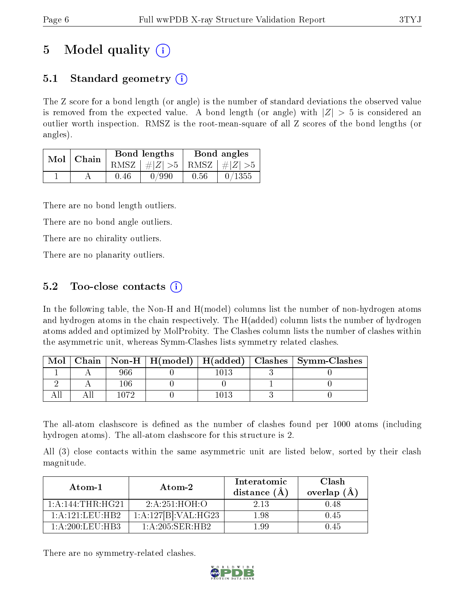## 5 Model quality  $(i)$

### 5.1 Standard geometry  $(i)$

The Z score for a bond length (or angle) is the number of standard deviations the observed value is removed from the expected value. A bond length (or angle) with  $|Z| > 5$  is considered an outlier worth inspection. RMSZ is the root-mean-square of all Z scores of the bond lengths (or angles).

| Mol | Chain |      | <b>Bond lengths</b>             | Bond angles |        |  |
|-----|-------|------|---------------------------------|-------------|--------|--|
|     |       |      | RMSZ $ #Z  > 5$ RMSZ $ #Z  > 5$ |             |        |  |
|     |       | 0.46 | 0/990                           | 0.56        | 0/1355 |  |

There are no bond length outliers.

There are no bond angle outliers.

There are no chirality outliers.

There are no planarity outliers.

### 5.2 Too-close contacts  $\overline{()}$

In the following table, the Non-H and H(model) columns list the number of non-hydrogen atoms and hydrogen atoms in the chain respectively. The H(added) column lists the number of hydrogen atoms added and optimized by MolProbity. The Clashes column lists the number of clashes within the asymmetric unit, whereas Symm-Clashes lists symmetry related clashes.

| Mol |      |  | Chain   Non-H   H(model)   H(added)   Clashes   Symm-Clashes |
|-----|------|--|--------------------------------------------------------------|
|     | 966  |  |                                                              |
|     |      |  |                                                              |
|     | פכחו |  |                                                              |

The all-atom clashscore is defined as the number of clashes found per 1000 atoms (including hydrogen atoms). The all-atom clashscore for this structure is 2.

All (3) close contacts within the same asymmetric unit are listed below, sorted by their clash magnitude.

| Atom-1                                | Atom-2                     | Interatomic<br>distance (A | Clash<br>overlap (A |  |
|---------------------------------------|----------------------------|----------------------------|---------------------|--|
| 1: A:144:THR:HG21                     | 2:A:251:HOH:O              | 2.13                       | 0.48                |  |
| $1:$ A $:121:$ FU $:$ HB2             | 1:A:127[B]:VAL:H G23       | 1.98                       | 0.45                |  |
| $1 \cdot A \cdot 200 \cdot I$ FII HB3 | $1: A:205:$ SER $:H$ R $2$ | -99                        | l 45                |  |

There are no symmetry-related clashes.

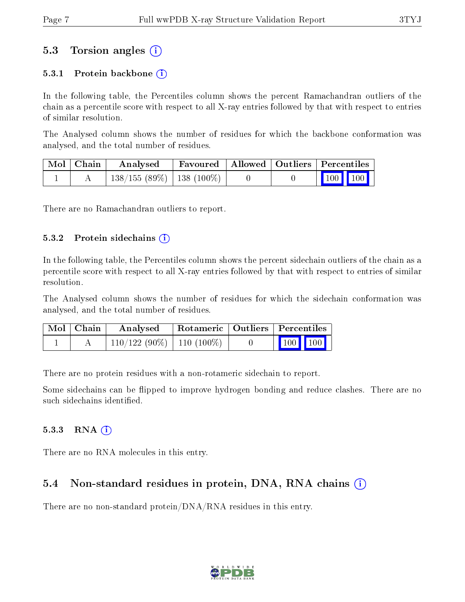### 5.3 Torsion angles (i)

#### 5.3.1 Protein backbone  $(i)$

In the following table, the Percentiles column shows the percent Ramachandran outliers of the chain as a percentile score with respect to all X-ray entries followed by that with respect to entries of similar resolution.

The Analysed column shows the number of residues for which the backbone conformation was analysed, and the total number of residues.

| Mol   Chain | Analysed                      | Favoured   Allowed   Outliers   Percentiles |  |                         |  |
|-------------|-------------------------------|---------------------------------------------|--|-------------------------|--|
|             | $138/155(89\%)$   138 (100\%) |                                             |  | $\vert$ 100 100 $\vert$ |  |

There are no Ramachandran outliers to report.

#### $5.3.2$  Protein sidechains  $(i)$

In the following table, the Percentiles column shows the percent sidechain outliers of the chain as a percentile score with respect to all X-ray entries followed by that with respect to entries of similar resolution.

The Analysed column shows the number of residues for which the sidechain conformation was analysed, and the total number of residues.

| Mol   Chain | Analysed                      | Rotameric   Outliers   Percentiles |                         |  |
|-------------|-------------------------------|------------------------------------|-------------------------|--|
|             | $110/122(90\%)$   110 (100\%) |                                    | $\vert$ 100 100 $\vert$ |  |

There are no protein residues with a non-rotameric sidechain to report.

Some sidechains can be flipped to improve hydrogen bonding and reduce clashes. There are no such sidechains identified.

#### $5.3.3$  RNA  $(i)$

There are no RNA molecules in this entry.

#### 5.4 Non-standard residues in protein, DNA, RNA chains  $\Omega$  $\Omega$  $\Omega$

There are no non-standard protein/DNA/RNA residues in this entry.

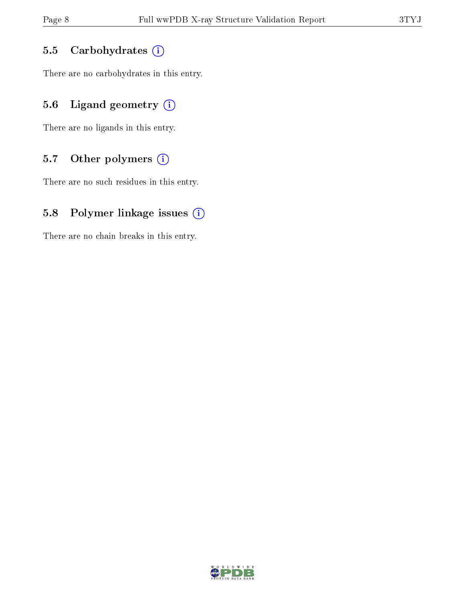#### 5.5 Carbohydrates (i)

There are no carbohydrates in this entry.

### 5.6 Ligand geometry  $(i)$

There are no ligands in this entry.

#### 5.7 [O](https://www.wwpdb.org/validation/2017/XrayValidationReportHelp#nonstandard_residues_and_ligands)ther polymers  $(i)$

There are no such residues in this entry.

#### 5.8 Polymer linkage issues  $(i)$

There are no chain breaks in this entry.